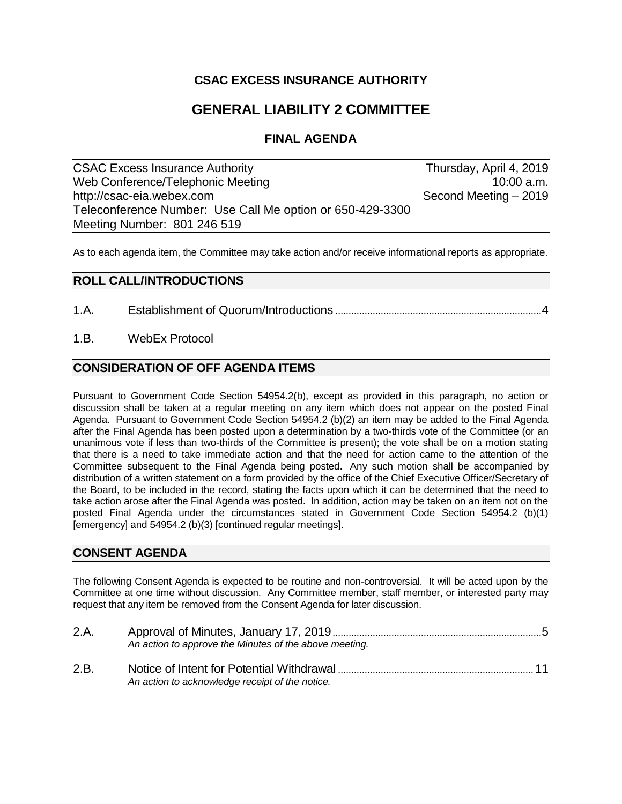## **CSAC EXCESS INSURANCE AUTHORITY**

# **GENERAL LIABILITY 2 COMMITTEE**

## **FINAL AGENDA**

CSAC Excess Insurance Authority **Thursday, April 4, 2019** Web Conference/Telephonic Meeting 10:00 a.m. http://csac-eia.webex.com Second Meeting – 2019 Teleconference Number: Use Call Me option or 650-429-3300 Meeting Number: 801 246 519

As to each agenda item, the Committee may take action and/or receive informational reports as appropriate.

### **ROLL CALL/INTRODUCTIONS**

- 1.A. Establishment of Quorum/Introductions .............................................................................4
- 1.B. WebEx Protocol

### **CONSIDERATION OF OFF AGENDA ITEMS**

Pursuant to Government Code Section 54954.2(b), except as provided in this paragraph, no action or discussion shall be taken at a regular meeting on any item which does not appear on the posted Final Agenda. Pursuant to Government Code Section 54954.2 (b)(2) an item may be added to the Final Agenda after the Final Agenda has been posted upon a determination by a two-thirds vote of the Committee (or an unanimous vote if less than two-thirds of the Committee is present); the vote shall be on a motion stating that there is a need to take immediate action and that the need for action came to the attention of the Committee subsequent to the Final Agenda being posted. Any such motion shall be accompanied by distribution of a written statement on a form provided by the office of the Chief Executive Officer/Secretary of the Board, to be included in the record, stating the facts upon which it can be determined that the need to take action arose after the Final Agenda was posted. In addition, action may be taken on an item not on the posted Final Agenda under the circumstances stated in Government Code Section 54954.2 (b)(1) [emergency] and 54954.2 (b)(3) [continued regular meetings].

### **CONSENT AGENDA**

The following Consent Agenda is expected to be routine and non-controversial. It will be acted upon by the Committee at one time without discussion. Any Committee member, staff member, or interested party may request that any item be removed from the Consent Agenda for later discussion.

| 2.A. |                                                        |
|------|--------------------------------------------------------|
|      | An action to approve the Minutes of the above meeting. |
| 2.B. |                                                        |
|      | An action to acknowledge receipt of the notice.        |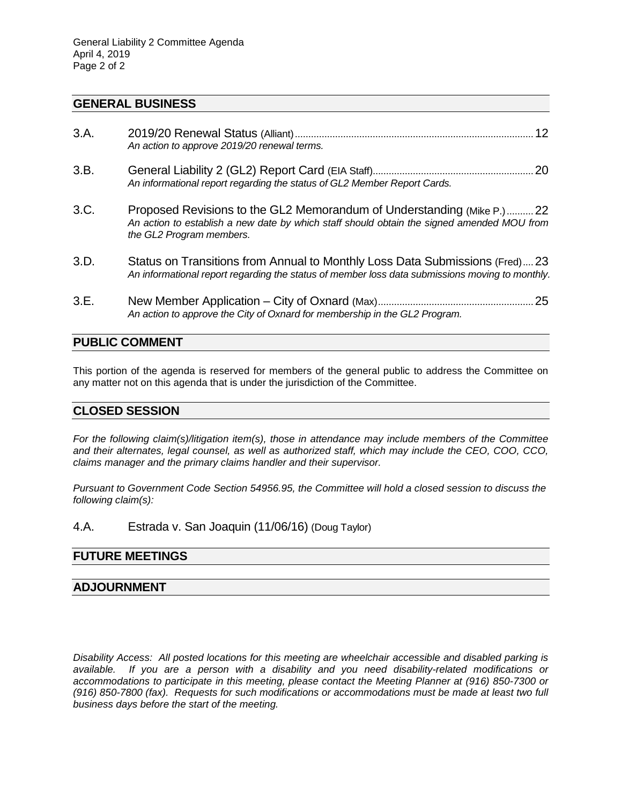#### **GENERAL BUSINESS**

| 3.A. | An action to approve 2019/20 renewal terms.                                                                                                                                                      | .12 |
|------|--------------------------------------------------------------------------------------------------------------------------------------------------------------------------------------------------|-----|
| 3.B. | An informational report regarding the status of GL2 Member Report Cards.                                                                                                                         | .20 |
| 3.C. | Proposed Revisions to the GL2 Memorandum of Understanding (Mike P.) 22<br>An action to establish a new date by which staff should obtain the signed amended MOU from<br>the GL2 Program members. |     |
| 3.D. | Status on Transitions from Annual to Monthly Loss Data Submissions (Fred) 23<br>An informational report regarding the status of member loss data submissions moving to monthly.                  |     |
| 3.E. | An action to approve the City of Oxnard for membership in the GL2 Program.                                                                                                                       | 25  |

### **PUBLIC COMMENT**

This portion of the agenda is reserved for members of the general public to address the Committee on any matter not on this agenda that is under the jurisdiction of the Committee.

#### **CLOSED SESSION**

*For the following claim(s)/litigation item(s), those in attendance may include members of the Committee and their alternates, legal counsel, as well as authorized staff, which may include the CEO, COO, CCO, claims manager and the primary claims handler and their supervisor.* 

*Pursuant to Government Code Section 54956.95, the Committee will hold a closed session to discuss the following claim(s):*

4.A. Estrada v. San Joaquin (11/06/16) (Doug Taylor)

#### **FUTURE MEETINGS**

#### **ADJOURNMENT**

*Disability Access: All posted locations for this meeting are wheelchair accessible and disabled parking is available. If you are a person with a disability and you need disability-related modifications or accommodations to participate in this meeting, please contact the Meeting Planner at (916) 850-7300 or (916) 850-7800 (fax). Requests for such modifications or accommodations must be made at least two full business days before the start of the meeting.*